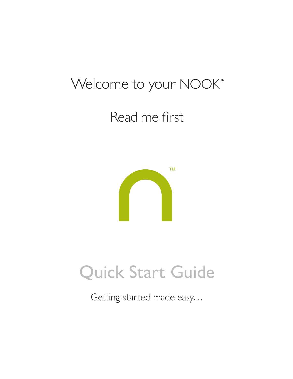### Welcome to your NOOK<sup>™</sup>

### Read me first



## Quick Start Guide

Getting started made easy…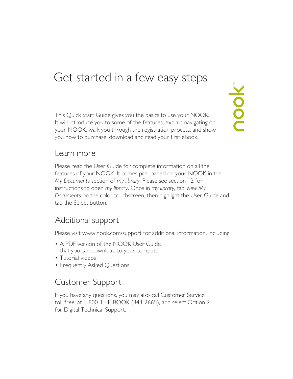### Get started in a few easy steps

This Quick Start Guide gives you the basics to use your NOOK. It will introduce you to some of the features, explain navigating on your NOOK, walk you through the registration process, and show you how to purchase, download and read your first eBook.

nook<sup>"</sup>

#### Learn more

Please read the User Guide for complete information on all the features of your NOOK. It comes pre-loaded on your NOOK in the *My Documents* section of *my library*. Please see section 12 for instructions to open *my library*. Once in *my library,* tap *View My Documents* on the color touchscreen, then highlight the User Guide and tap the Select button.

#### Additional support

Please visit www.nook.com/support for additional information, including:

- A PDF version of the NOOK User Guide that you can download to your computer
- Tutorial videos
- Frequently Asked Questions

### Customer Support

If you have any questions, you may also call Customer Service, toll-free, at 1-800-THE-BOOK (843-2665), and select Option 2 for Digital Technical Support.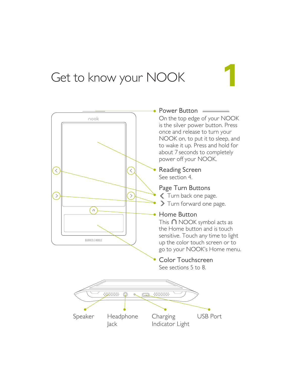### Get to know your NOOK

#### Power Button On the top edge of your NOOK nook is the silver power button. Press once and release to turn your NOOK on, to put it to sleep, and to wake it up. Press and hold for about 7 seconds to completely power off your NOOK. Reading Screen  $\,$   $\,$   $\,$  $\left[ \left. < \right. \right]$ See section 4. Page Turn Buttons Turn back one page.  $\rightarrow$  $\rightarrow$ Turn forward one page.  $\left( \circ \right)$ Home Button This  $\bigcap$  NOOK symbol acts as the Home button and is touch sensitive. Touch any time to light **BARNES&NOBLE** up the color touch screen or to go to your NOOK's Home menu. Color Touchscreen See sections 5 to 8.  $\alpha$  $\sqrt{2}$

Charging Indicator Light Speaker Headphone Charging USB Port Jack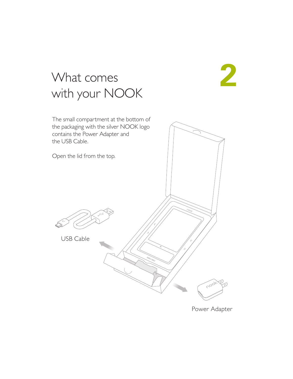## **2**

### What comes with your NOOK

The small compartment at the bottom of the packaging with the silver NOOK logo contains the Power Adapter and the USB Cable. Open the lid from the top.USB Cable **Coc** 

Power Adapter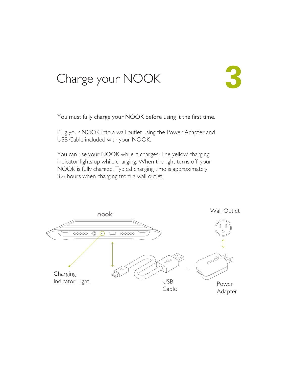### Charge your NOOK



You must fully charge your NOOK before using it the first time.

Plug your NOOK into a wall outlet using the Power Adapter and USB Cable included with your NOOK.

You can use your NOOK while it charges. The yellow charging indicator lights up while charging. When the light turns off, your NOOK is fully charged. Typical charging time is approximately 3½ hours when charging from a wall outlet.

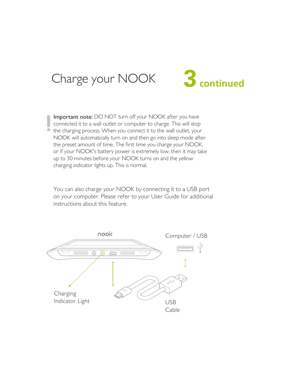### Charge your NOOK



Important note: DO NOT turn off your NOOK after you have connected it to a wall outlet or computer to charge. This will stop the charging process. When you connect it to the wall outlet, your NOOK will automatically turn on and then go into sleep mode after the preset amount of time. The first time you charge your NOOK, or if your NOOK's battery power is extremely low, then it may take up to 30 minutes before your NOOK turns on and the yellow charging indicator lights up. This is normal.

You can also charge your NOOK by connecting it to a USB port on your computer. Please refer to your User Guide for additional instructions about this feature.

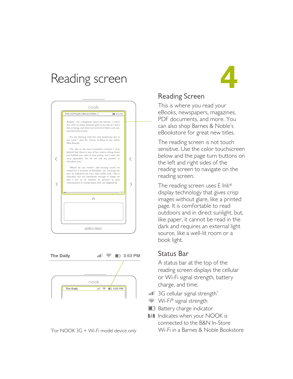### Reading screen **4**





\* For NOOK 3G + Wi-Fi model device only



#### Reading Screen

This is where you read your eBooks, newspapers, magazines, PDF documents, and more. You can also shop Barnes & Noble's eBookstore for great new titles.

The reading screen is not touch sensitive. Use the color touchscreen below and the page turn buttons on the left and right sides of the reading screen to navigate on the reading screen.

The reading screen uses E Ink® display technology that gives crisp images without glare, like a printed page. It is comfortable to read outdoors and in direct sunlight, but, like paper, it cannot be read in the dark and requires an external light source, like a well-lit room or a book light.

#### Status Bar

A status bar at the top of the reading screen displays the cellular or Wi-Fi signal strength, battery charge, and time.

- **11 3G cellular signal strength\***
- Wi-Fi® signal strength
- **Battery charge indicator**
- B&N Indicates when your NOOK is connected to the B&N In-Store Wi-Fi in a Barnes & Noble Bookstore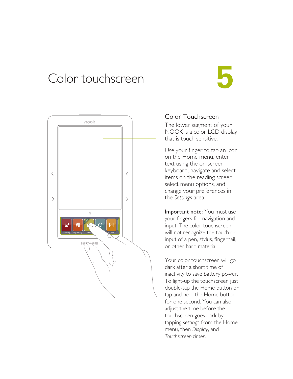### Color touchscreen **5**



#### Color Touchscreen

The lower segment of your NOOK is a color LCD display that is touch sensitive.

Use your finger to tap an icon on the Home menu, enter text using the on-screen keyboard, navigate and select items on the reading screen, select menu options, and change your preferences in the *Settings* area.

Important note: You must use your fingers for navigation and input. The color touchscreen will not recognize the touch or input of a pen, stylus, fingernail, or other hard material.

Your color touchscreen will go dark after a short time of inactivity to save battery power. To light-up the touchscreen just double-tap the Home button or tap and hold the Home button for one second. You can also adjust the time before the touchscreen goes dark by tapping *settings* from the Home menu, then *Display*, and *Touchscreen timer*.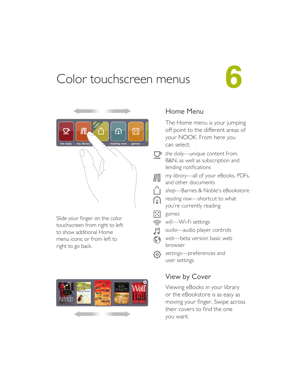### Color touchscreen menus





Slide your finger on the color touchscreen from right to left to show additional Home menu icons; or from left to right to go back.



#### Home Menu

The Home menu is your jumping off point to the different areas of your NOOK. From here you can select:

*the daily*—unique content from B&N, as well as subscription and lending notifications

*my library*—all of your eBooks, PDFs, //II and other documents

- *shop*—Barnes & Noble's eBookstore
- *reading now*—shortcut to what  $\mathbf{C}$ you're currently reading
- $\lceil \cdot \rceil$ *games*
- $\widehat{\psi}$ *wifi—*Wi-Fi settings
- 月 *audio—*audio player controls
- *web—*beta version basic web  $\odot$ browser
- *settings*—preferences and user settings

#### View by Cover

Viewing eBooks in your library or the eBookstore is as easy as moving your finger. Swipe across their covers to find the one you want.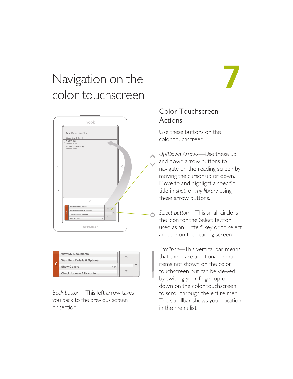### Navigation on the color touchscreen





*Back button*—This left arrow takes you back to the previous screen or section.

#### Color Touchscreen Actions

**7**

Use these buttons on the color touchscreen:

*Up/Down Arrows*—Use these up and down arrow buttons to navigate on the reading screen by moving the cursor up or down. Move to and highlight a specific title in *shop* or *my library* using these arrow buttons.

*Select button*—This small circle is the icon for the Select button, used as an "Enter" key or to select an item on the reading screen.

*Scrollbar*—This vertical bar means that there are additional menu items not shown on the color touchscreen but can be viewed by swiping your finger up or down on the color touchscreen to scroll through the entire menu. The scrollbar shows your location in the menu list.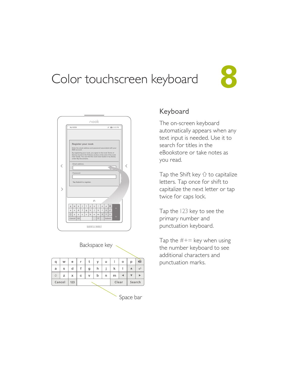### Color touchscreen keyboard **8**





| Backspace key |   |     |   |   |             |   |       |         |        |                   |  |
|---------------|---|-----|---|---|-------------|---|-------|---------|--------|-------------------|--|
|               |   |     |   |   |             |   |       |         |        |                   |  |
| q             | w | e   | r | t | У           | u | î     | $\circ$ | р      | $\bullet$         |  |
| a             | S | d   | f | g | h           | i | k     |         | ▲      | $\leftrightarrow$ |  |
| 企             | z | x   | C | V | $\mathsf b$ | n | m     |         |        |                   |  |
| Cancel        |   | 123 |   |   |             |   | Clear |         | Search |                   |  |
|               |   |     |   |   |             |   |       |         |        |                   |  |

Space bar

#### Keyboard

The on-screen keyboard automatically appears when any text input is needed. Use it to search for titles in the eBookstore or take notes as you read.

Tap the Shift key  $\hat{U}$  to capitalize letters. Tap once for shift to capitalize the next letter or tap twice for caps lock.

Tap the 123 key to see the primary number and punctuation keyboard.

Tap the  $#+=$  key when using the number keyboard to see additional characters and punctuation marks.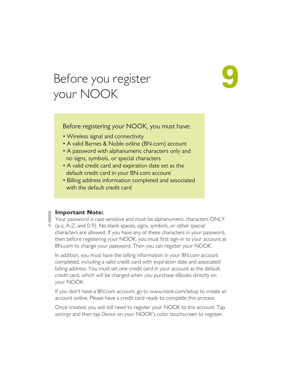### Before you register your NOOK

Before registering your NOOK, you must have:

**9**

- Wireless signal and connectivity
- A valid Barnes & Noble online (BN.com) account
- A password with alphanumeric characters only and no signs, symbols, or special characters
- A valid credit card and expiration date set as the default credit card in your BN.com account
- Billing address information completed and associated with the default credit card

#### **Important Note:**

Your password is case sensitive and must be alphanumeric characters ONLY (a-z, A-Z, and 0-9). No blank spaces, signs, symbols, or other special characters are allowed. If you have any of these characters in your password, then before registering your NOOK, you must first sign-in to your account at BN.com to change your password. Then you can register your NOOK.

In addition, you must have the billing information in your BN.com account completed, including a valid credit card with expiration date and associated billing address. You must set one credit card in your account as the default credit card, which will be charged when you purchase eBooks directly on your NOOK.

If you don't have a BN.com account, go to www.nook.com/setup to create an account online. Please have a credit card ready to complete this process.

Once created, you will still need to register your NOOK to this account. Tap *settings* and then tap *Device* on your NOOK's color touchscreen to register.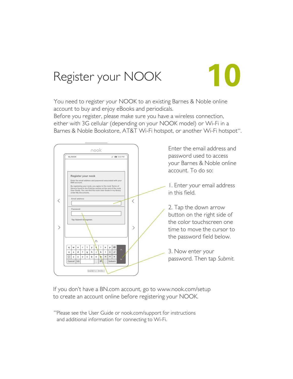### Register your NOOK

You need to register your NOOK to an existing Barnes & Noble online account to buy and enjoy eBooks and periodicals. Before you register, please make sure you have a wireless connection, either with 3G cellular (depending on your NOOK model) or Wi-Fi in a Barnes & Noble Bookstore, AT&T Wi-Fi hotspot, or another Wi-Fi hotspot\*\*.

**10**



If you don't have a BN.com account, go to www.nook.com/setup to create an account online before registering your NOOK.

\*\*Please see the User Guide or nook.com/support for instructions and additional information for connecting to Wi-Fi.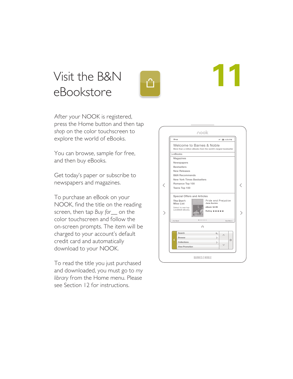### Visit the B&N eBookstore



After your NOOK is registered, press the Home button and then tap *shop* on the color touchscreen to explore the world of eBooks.

You can browse, sample for free, and then buy eBooks.

Get today's paper or subscribe to newspapers and magazines.

To purchase an eBook on your NOOK, find the title on the reading screen, then tap *Buy for\_\_* on the color touchscreen and follow the on-screen prompts. The item will be charged to your account's default credit card and automatically download to your NOOK.

To read the title you just purchased and downloaded, you must go to *my library* from the Home menu. Please see Section 12 for instructions.



**11**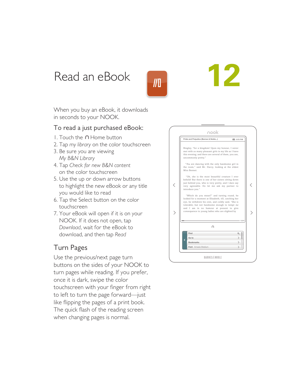### Read an eBook

 $\sqrt{\frac{1}{2}}$ 

# **12**

When you buy an eBook, it downloads in seconds to your NOOK.

#### To read a just purchased eBook:

- 1. Touch the  $\cap$  Home button
- 2. Tap *my library* on the color touchscreen
- 3. Be sure you are viewing *My B&N Library*
- 4. Tap *Check for new B&N content* on the color touchscreen
- 5. Use the up or down arrow buttons to highlight the new eBook or any title you would like to read
- 6. Tap the Select button on the color touchscreen
- 7. Your eBook will open if it is on your NOOK. If it does not open, tap *Download*, wait for the eBook to download, and then tap *Read*

#### Turn Pages

Use the previous/next page turn buttons on the sides of your NOOK to turn pages while reading. If you prefer, once it is dark, swipe the color touchscreen with your finger from right to left to turn the page forward—just like flipping the pages of a print book. The quick flash of the reading screen when changing pages is normal.